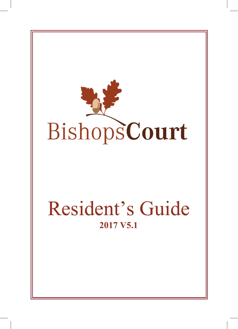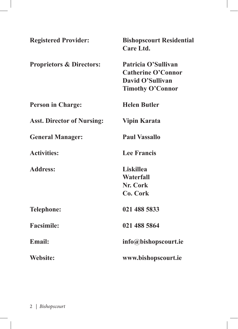| <b>Registered Provider:</b>         | <b>Bishopscourt Residential</b><br>Care Ltd. |
|-------------------------------------|----------------------------------------------|
| <b>Proprietors &amp; Directors:</b> | Patricia O'Sullivan                          |
|                                     | <b>Catherine O'Connor</b>                    |
|                                     | David O'Sullivan                             |
|                                     | <b>Timothy O'Connor</b>                      |
| <b>Person in Charge:</b>            | <b>Helen Butler</b>                          |
| <b>Asst. Director of Nursing:</b>   | <b>Vipin Karata</b>                          |
| <b>General Manager:</b>             | <b>Paul Vassallo</b>                         |
| <b>Activities:</b>                  | <b>Lee Francis</b>                           |
| <b>Address:</b>                     | <b>Liskillea</b>                             |
|                                     | Waterfall                                    |
|                                     | <b>Nr. Cork</b>                              |
|                                     | Co. Cork                                     |
| <b>Telephone:</b>                   | 021 488 5833                                 |
| <b>Facsimile:</b>                   | 021 488 5864                                 |
| <b>Email:</b>                       | info@bishopscourt.ie                         |
| Website:                            | www.bishopscourt.ie                          |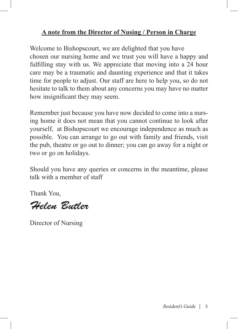#### **A note from the Director of Nusing / Person in Charge**

Welcome to Bishopscourt, we are delighted that you have chosen our nursing home and we trust you will have a happy and fulfilling stay with us. We appreciate that moving into a 24 hour care may be a traumatic and daunting experience and that it takes time for people to adjust. Our staff are here to help you, so do not hesitate to talk to them about any concerns you may have no matter how insignificant they may seem.

Remember just because you have now decided to come into a nursing home it does not mean that you cannot continue to look after yourself, at Bishopscourt we encourage independence as much as possible. You can arrange to go out with family and friends, visit the pub, theatre or go out to dinner; you can go away for a night or two or go on holidays.

Should you have any queries or concerns in the meantime, please talk with a member of staff

Thank You,

*Helen Butler*

Director of Nursing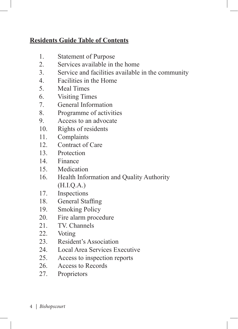## **Residents Guide Table of Contents**

- 1. Statement of Purpose<br>2 Services available in
- Services available in the home
- 3. Service and facilities available in the community
- 4. Facilities in the Home
- 5. Meal Times
- 6. Visiting Times
- 7. General Information
- 8. Programme of activities
- 9. Access to an advocate
- 10. Rights of residents<br>11. Complaints
- Complaints
- 12. Contract of Care<br>13. Protection
- **Protection**
- 14. Finance
- 15. Medication<br>16. Health Infor
- 16. Health Information and Quality Authority (H.I.Q.A.)
- 17. Inspections
- 
- 18. General Staffing<br>19. Smoking Policy **Smoking Policy**
- 20. Fire alarm procedure
- 21. TV. Channels<br>22. Voting
- Voting
- 23. Resident's Association
- 24. Local Area Services Executive
- 25. Access to inspection reports
- 26. Access to Records
- 27. Proprietors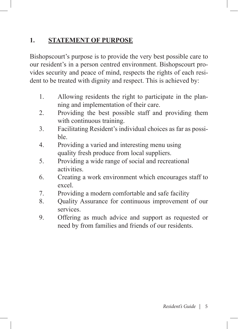## **1. STATEMENT OF PURPOSE**

Bishopscourt's purpose is to provide the very best possible care to our resident's in a person centred environment. Bishopscourt provides security and peace of mind, respects the rights of each resident to be treated with dignity and respect. This is achieved by:

- 1. Allowing residents the right to participate in the planning and implementation of their care.
- 2. Providing the best possible staff and providing them with continuous training.
- 3. Facilitating Resident's individual choices as far as possible.
- 4. Providing a varied and interesting menu using quality fresh produce from local suppliers.
- 5. Providing a wide range of social and recreational activities.
- 6. Creating a work environment which encourages staff to excel.
- 7. Providing a modern comfortable and safe facility
- 8. Quality Assurance for continuous improvement of our services.
- 9. Offering as much advice and support as requested or need by from families and friends of our residents.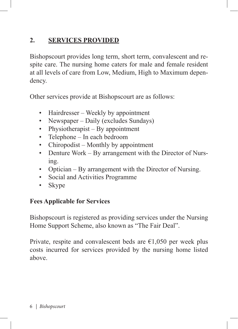## **2. SERVICES PROVIDED**

Bishopscourt provides long term, short term, convalescent and respite care. The nursing home caters for male and female resident at all levels of care from Low, Medium, High to Maximum dependency.

Other services provide at Bishopscourt are as follows:

- Hairdresser Weekly by appointment
- Newspaper Daily (excludes Sundays)
- Physiotherapist By appointment
- Telephone In each bedroom
- Chiropodist Monthly by appointment
- Denture Work By arrangement with the Director of Nursing.
- Optician By arrangement with the Director of Nursing.
- Social and Activities Programme
- Skype

### **Fees Applicable for Services**

Bishopscourt is registered as providing services under the Nursing Home Support Scheme, also known as "The Fair Deal".

Private, respite and convalescent beds are  $\epsilon$ 1,050 per week plus costs incurred for services provided by the nursing home listed above.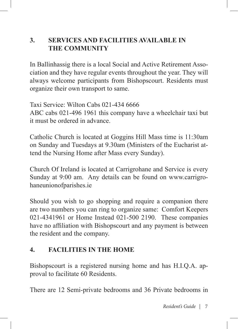## **3. SERVICES AND FACILITIES AVAILABLE IN THE COMMUNITY**

In Ballinhassig there is a local Social and Active Retirement Association and they have regular events throughout the year. They will always welcome participants from Bishopscourt. Residents must organize their own transport to same.

Taxi Service: Wilton Cabs 021-434 6666

ABC cabs 021-496 1961 this company have a wheelchair taxi but it must be ordered in advance.

Catholic Church is located at Goggins Hill Mass time is 11:30am on Sunday and Tuesdays at 9.30am (Ministers of the Eucharist attend the Nursing Home after Mass every Sunday).

Church Of Ireland is located at Carrigrohane and Service is every Sunday at 9:00 am. Any details can be found on www.carrigrohaneunionofparishes.ie

Should you wish to go shopping and require a companion there are two numbers you can ring to organize same: Comfort Keepers 021-4341961 or Home Instead 021-500 2190. These companies have no affiliation with Bishopscourt and any payment is between the resident and the company.

### **4. FACILITIES IN THE HOME**

Bishopscourt is a registered nursing home and has H.I.Q.A. approval to facilitate 60 Residents.

There are 12 Semi-private bedrooms and 36 Private bedrooms in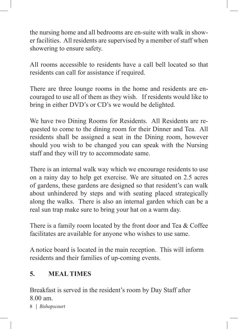the nursing home and all bedrooms are en-suite with walk in shower facilities. All residents are supervised by a member of staff when showering to ensure safety.

All rooms accessible to residents have a call bell located so that residents can call for assistance if required.

There are three lounge rooms in the home and residents are encouraged to use all of them as they wish. If residents would like to bring in either DVD's or CD's we would be delighted.

We have two Dining Rooms for Residents. All Residents are requested to come to the dining room for their Dinner and Tea. All residents shall be assigned a seat in the Dining room, however should you wish to be changed you can speak with the Nursing staff and they will try to accommodate same.

There is an internal walk way which we encourage residents to use on a rainy day to help get exercise. We are situated on 2.5 acres of gardens, these gardens are designed so that resident's can walk about unhindered by steps and with seating placed strategically along the walks. There is also an internal garden which can be a real sun trap make sure to bring your hat on a warm day.

There is a family room located by the front door and Tea & Coffee facilitates are available for anyone who wishes to use same.

A notice board is located in the main reception. This will inform residents and their families of up-coming events.

### **5. MEAL TIMES**

Breakfast is served in the resident's room by Day Staff after 8.00 am.

8 | *Bishopscourt*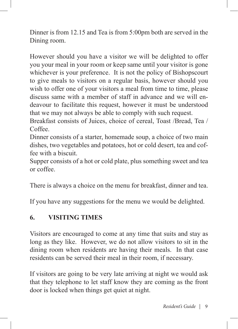Dinner is from 12.15 and Tea is from 5:00pm both are served in the Dining room.

However should you have a visitor we will be delighted to offer you your meal in your room or keep same until your visitor is gone whichever is your preference. It is not the policy of Bishopscourt to give meals to visitors on a regular basis, however should you wish to offer one of your visitors a meal from time to time, please discuss same with a member of staff in advance and we will endeavour to facilitate this request, however it must be understood that we may not always be able to comply with such request.

Breakfast consists of Juices, choice of cereal, Toast /Bread, Tea / Coffee.

Dinner consists of a starter, homemade soup, a choice of two main dishes, two vegetables and potatoes, hot or cold desert, tea and coffee with a biscuit.

Supper consists of a hot or cold plate, plus something sweet and tea or coffee.

There is always a choice on the menu for breakfast, dinner and tea.

If you have any suggestions for the menu we would be delighted.

#### **6. VISITING TIMES**

Visitors are encouraged to come at any time that suits and stay as long as they like. However, we do not allow visitors to sit in the dining room when residents are having their meals. In that case residents can be served their meal in their room, if necessary.

If visitors are going to be very late arriving at night we would ask that they telephone to let staff know they are coming as the front door is locked when things get quiet at night.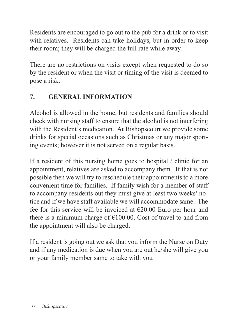Residents are encouraged to go out to the pub for a drink or to visit with relatives. Residents can take holidays, but in order to keep their room; they will be charged the full rate while away.

There are no restrictions on visits except when requested to do so by the resident or when the visit or timing of the visit is deemed to pose a risk.

## **7. GENERAL INFORMATION**

Alcohol is allowed in the home, but residents and families should check with nursing staff to ensure that the alcohol is not interfering with the Resident's medication. At Bishopscourt we provide some drinks for special occasions such as Christmas or any major sporting events; however it is not served on a regular basis.

If a resident of this nursing home goes to hospital / clinic for an appointment, relatives are asked to accompany them. If that is not possible then we will try to reschedule their appointments to a more convenient time for families. If family wish for a member of staff to accompany residents out they must give at least two weeks' notice and if we have staff available we will accommodate same. The fee for this service will be invoiced at  $\epsilon$ 20.00 Euro per hour and there is a minimum charge of  $E100.00$ . Cost of travel to and from the appointment will also be charged.

If a resident is going out we ask that you inform the Nurse on Duty and if any medication is due when you are out he/she will give you or your family member same to take with you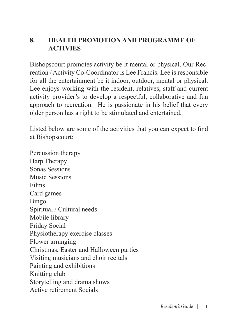#### **8. HEALTH PROMOTION AND PROGRAMME OF ACTIVIES**

Bishopscourt promotes activity be it mental or physical. Our Recreation / Activity Co-Coordinator is Lee Francis. Lee is responsible for all the entertainment be it indoor, outdoor, mental or physical. Lee enjoys working with the resident, relatives, staff and current activity provider's to develop a respectful, collaborative and fun approach to recreation. He is passionate in his belief that every older person has a right to be stimulated and entertained.

Listed below are some of the activities that you can expect to find at Bishopscourt:

Percussion therapy Harp Therapy Sonas Sessions Music Sessions Films Card games Bingo Spiritual / Cultural needs Mobile library Friday Social Physiotherapy exercise classes Flower arranging Christmas, Easter and Halloween parties Visiting musicians and choir recitals Painting and exhibitions Knitting club Storytelling and drama shows Active retirement Socials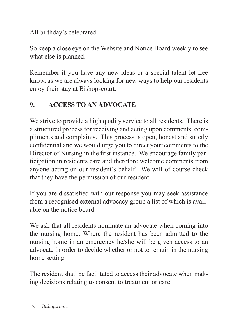All birthday's celebrated

So keep a close eye on the Website and Notice Board weekly to see what else is planned.

Remember if you have any new ideas or a special talent let Lee know, as we are always looking for new ways to help our residents enjoy their stay at Bishopscourt.

## **9. ACCESS TO AN ADVOCATE**

We strive to provide a high quality service to all residents. There is a structured process for receiving and acting upon comments, compliments and complaints. This process is open, honest and strictly confidential and we would urge you to direct your comments to the Director of Nursing in the first instance. We encourage family participation in residents care and therefore welcome comments from anyone acting on our resident's behalf. We will of course check that they have the permission of our resident.

If you are dissatisfied with our response you may seek assistance from a recognised external advocacy group a list of which is available on the notice board.

We ask that all residents nominate an advocate when coming into the nursing home. Where the resident has been admitted to the nursing home in an emergency he/she will be given access to an advocate in order to decide whether or not to remain in the nursing home setting.

The resident shall be facilitated to access their advocate when making decisions relating to consent to treatment or care.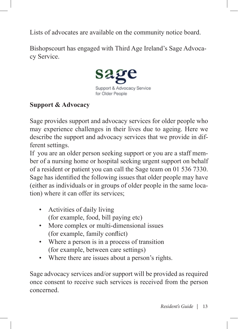Lists of advocates are available on the community notice board.

Bishopscourt has engaged with Third Age Ireland's Sage Advocacy Service.



#### **Support & Advocacy**

Sage provides support and advocacy services for older people who may experience challenges in their lives due to ageing. Here we describe the support and advocacy services that we provide in different settings.

If you are an older person seeking support or you are a staff member of a nursing home or hospital seeking urgent support on behalf of a resident or patient you can call the Sage team on 01 536 7330. Sage has identified the following issues that older people may have (either as individuals or in groups of older people in the same location) where it can offer its services;

- Activities of daily living (for example, food, bill paying etc)
- More complex or multi-dimensional issues (for example, family conflict)
- Where a person is in a process of transition (for example, between care settings)
- Where there are issues about a person's rights.

Sage advocacy services and/or support will be provided as required once consent to receive such services is received from the person concerned.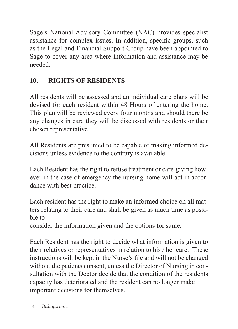Sage's National Advisory Committee (NAC) provides specialist assistance for complex issues. In addition, specific groups, such as the Legal and Financial Support Group have been appointed to Sage to cover any area where information and assistance may be needed.

# **10. RIGHTS OF RESIDENTS**

All residents will be assessed and an individual care plans will be devised for each resident within 48 Hours of entering the home. This plan will be reviewed every four months and should there be any changes in care they will be discussed with residents or their chosen representative.

All Residents are presumed to be capable of making informed decisions unless evidence to the contrary is available.

Each Resident has the right to refuse treatment or care-giving however in the case of emergency the nursing home will act in accordance with best practice.

Each resident has the right to make an informed choice on all matters relating to their care and shall be given as much time as possible to

consider the information given and the options for same.

Each Resident has the right to decide what information is given to their relatives or representatives in relation to his / her care. These instructions will be kept in the Nurse's file and will not be changed without the patients consent, unless the Director of Nursing in consultation with the Doctor decide that the condition of the residents capacity has deteriorated and the resident can no longer make important decisions for themselves.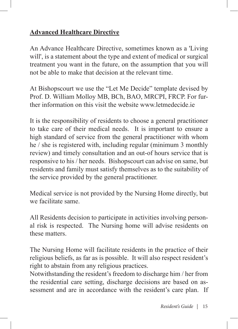### **Advanced Healthcare Directive**

An Advance Healthcare Directive, sometimes known as a 'Living will', is a statement about the type and extent of medical or surgical treatment you want in the future, on the assumption that you will not be able to make that decision at the relevant time.

At Bishopscourt we use the "Let Me Decide" template devised by Prof. D. William Molloy MB, BCh, BAO, MRCPI, FRCP. For further information on this visit the website www.letmedecide.ie

It is the responsibility of residents to choose a general practitioner to take care of their medical needs. It is important to ensure a high standard of service from the general practitioner with whom he / she is registered with, including regular (minimum 3 monthly review) and timely consultation and an out-of hours service that is responsive to his / her needs. Bishopscourt can advise on same, but residents and family must satisfy themselves as to the suitability of the service provided by the general practitioner.

Medical service is not provided by the Nursing Home directly, but we facilitate same.

All Residents decision to participate in activities involving personal risk is respected. The Nursing home will advise residents on these matters.

The Nursing Home will facilitate residents in the practice of their religious beliefs, as far as is possible. It will also respect resident's right to abstain from any religious practices.

Notwithstanding the resident's freedom to discharge him / her from the residential care setting, discharge decisions are based on assessment and are in accordance with the resident's care plan. If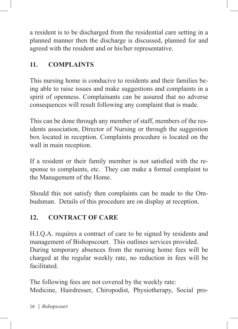a resident is to be discharged from the residential care setting in a planned manner then the discharge is discussed, planned for and agreed with the resident and or his/her representative.

## **11. COMPLAINTS**

This nursing home is conducive to residents and their families being able to raise issues and make suggestions and complaints in a spirit of openness. Complainants can be assured that no adverse consequences will result following any complaint that is made.

This can be done through any member of staff, members of the residents association, Director of Nursing or through the suggestion box located in reception. Complaints procedure is located on the wall in main reception.

If a resident or their family member is not satisfied with the response to complaints, etc. They can make a formal complaint to the Management of the Home.

Should this not satisfy then complaints can be made to the Ombudsman. Details of this procedure are on display at reception.

## **12. CONTRACT OF CARE**

H.I.Q.A. requires a contract of care to be signed by residents and management of Bishopscourt. This outlines services provided. During temporary absences from the nursing home fees will be charged at the regular weekly rate, no reduction in fees will be facilitated.

The following fees are not covered by the weekly rate: Medicine, Hairdresser, Chiropodist, Physiotherapy, Social pro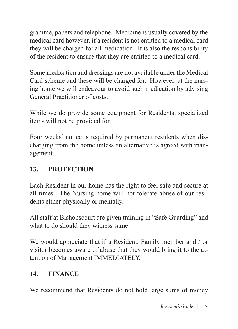gramme, papers and telephone. Medicine is usually covered by the medical card however, if a resident is not entitled to a medical card they will be charged for all medication. It is also the responsibility of the resident to ensure that they are entitled to a medical card.

Some medication and dressings are not available under the Medical Card scheme and these will be charged for. However, at the nursing home we will endeavour to avoid such medication by advising General Practitioner of costs.

While we do provide some equipment for Residents, specialized items will not be provided for.

Four weeks' notice is required by permanent residents when discharging from the home unless an alternative is agreed with management.

## **13. PROTECTION**

Each Resident in our home has the right to feel safe and secure at all times. The Nursing home will not tolerate abuse of our residents either physically or mentally.

All staff at Bishopscourt are given training in "Safe Guarding" and what to do should they witness same.

We would appreciate that if a Resident, Family member and / or visitor becomes aware of abuse that they would bring it to the attention of Management IMMEDIATELY.

## **14. FINANCE**

We recommend that Residents do not hold large sums of money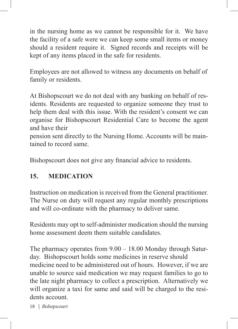in the nursing home as we cannot be responsible for it. We have the facility of a safe were we can keep some small items or money should a resident require it. Signed records and receipts will be kept of any items placed in the safe for residents.

Employees are not allowed to witness any documents on behalf of family or residents.

At Bishopscourt we do not deal with any banking on behalf of residents. Residents are requested to organize someone they trust to help them deal with this issue. With the resident's consent we can organise for Bishopscourt Residential Care to become the agent and have their

pension sent directly to the Nursing Home. Accounts will be maintained to record same.

Bishopscourt does not give any financial advice to residents.

## **15. MEDICATION**

Instruction on medication is received from the General practitioner. The Nurse on duty will request any regular monthly prescriptions and will co-ordinate with the pharmacy to deliver same.

Residents may opt to self-administer medication should the nursing home assessment deem them suitable candidates.

The pharmacy operates from 9.00 – 18.00 Monday through Saturday. Bishopscourt holds some medicines in reserve should medicine need to be administered out of hours. However, if we are unable to source said medication we may request families to go to the late night pharmacy to collect a prescription. Alternatively we will organize a taxi for same and said will be charged to the residents account.

18 | *Bishopscourt*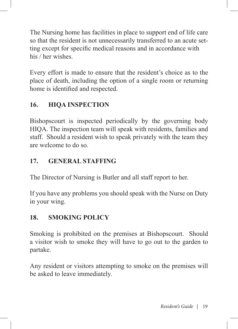The Nursing home has facilities in place to support end of life care so that the resident is not unnecessarily transferred to an acute setting except for specific medical reasons and in accordance with his / her wishes.

Every effort is made to ensure that the resident's choice as to the place of death, including the option of a single room or returning home is identified and respected.

## **16. HIQA INSPECTION**

Bishopscourt is inspected periodically by the governing body HIQA. The inspection team will speak with residents, families and staff. Should a resident wish to speak privately with the team they are welcome to do so.

## **17. GENERAL STAFFING**

The Director of Nursing is Butler and all staff report to her.

If you have any problems you should speak with the Nurse on Duty in your wing.

## **18. SMOKING POLICY**

Smoking is prohibited on the premises at Bishopscourt. Should a visitor wish to smoke they will have to go out to the garden to partake.

Any resident or visitors attempting to smoke on the premises will be asked to leave immediately.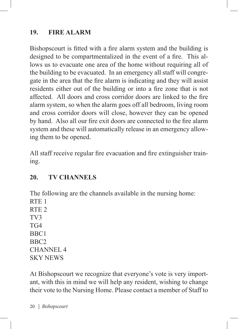### **19. FIRE ALARM**

Bishopscourt is fitted with a fire alarm system and the building is designed to be compartmentalized in the event of a fire. This allows us to evacuate one area of the home without requiring all of the building to be evacuated. In an emergency all staff will congregate in the area that the fire alarm is indicating and they will assist residents either out of the building or into a fire zone that is not affected. All doors and cross corridor doors are linked to the fire alarm system, so when the alarm goes off all bedroom, living room and cross corridor doors will close, however they can be opened by hand. Also all our fire exit doors are connected to the fire alarm system and these will automatically release in an emergency allowing them to be opened.

All staff receive regular fire evacuation and fire extinguisher training.

## **20. TV CHANNELS**

The following are the channels available in the nursing home: RTE 1 RTE 2 TV3 TG4 BBC1 BBC2 CHANNEL 4 SKY NEWS

At Bishopscourt we recognize that everyone's vote is very important, with this in mind we will help any resident, wishing to change their vote to the Nursing Home. Please contact a member of Staff to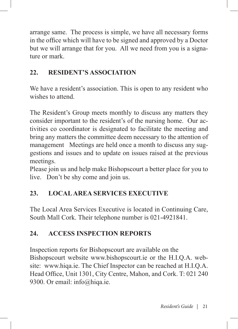arrange same. The process is simple, we have all necessary forms in the office which will have to be signed and approved by a Doctor but we will arrange that for you. All we need from you is a signature or mark.

## **22. RESIDENT'S ASSOCIATION**

We have a resident's association. This is open to any resident who wishes to attend.

The Resident's Group meets monthly to discuss any matters they consider important to the resident's of the nursing home. Our activities co coordinator is designated to facilitate the meeting and bring any matters the committee deem necessary to the attention of management Meetings are held once a month to discuss any suggestions and issues and to update on issues raised at the previous meetings.

Please join us and help make Bishopscourt a better place for you to live. Don't be shy come and join us.

# **23. LOCAL AREA SERVICES EXECUTIVE**

The Local Area Services Executive is located in Continuing Care, South Mall Cork. Their telephone number is 021-4921841.

## **24. ACCESS INSPECTION REPORTS**

Inspection reports for Bishopscourt are available on the Bishopscourt website www.bishopscourt.ie or the H.I.Q.A. website: www.hiqa.ie. The Chief Inspector can be reached at H.I.Q.A. Head Office, Unit 1301, City Centre, Mahon, and Cork. T: 021 240 9300. Or email: info@hiqa.ie.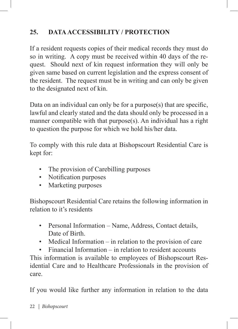# **25. DATA ACCESSIBILITY / PROTECTION**

If a resident requests copies of their medical records they must do so in writing. A copy must be received within 40 days of the request. Should next of kin request information they will only be given same based on current legislation and the express consent of the resident. The request must be in writing and can only be given to the designated next of kin.

Data on an individual can only be for a purpose(s) that are specific, lawful and clearly stated and the data should only be processed in a manner compatible with that purpose(s). An individual has a right to question the purpose for which we hold his/her data.

To comply with this rule data at Bishopscourt Residential Care is kept for:

- The provision of Carebilling purposes
- Notification purposes
- Marketing purposes

Bishopscourt Residential Care retains the following information in relation to it's residents

- Personal Information Name, Address, Contact details, Date of Birth.
- Medical Information in relation to the provision of care
- Financial Information in relation to resident accounts

This information is available to employees of Bishopscourt Residential Care and to Healthcare Professionals in the provision of care.

If you would like further any information in relation to the data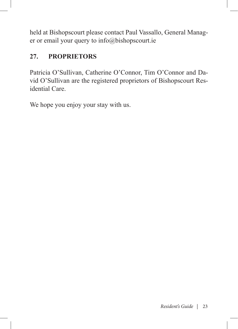held at Bishopscourt please contact Paul Vassallo, General Manager or email your query to info@bishopscourt.ie

## **27. PROPRIETORS**

Patricia O'Sullivan, Catherine O'Connor, Tim O'Connor and David O'Sullivan are the registered proprietors of Bishopscourt Residential Care.

We hope you enjoy your stay with us.